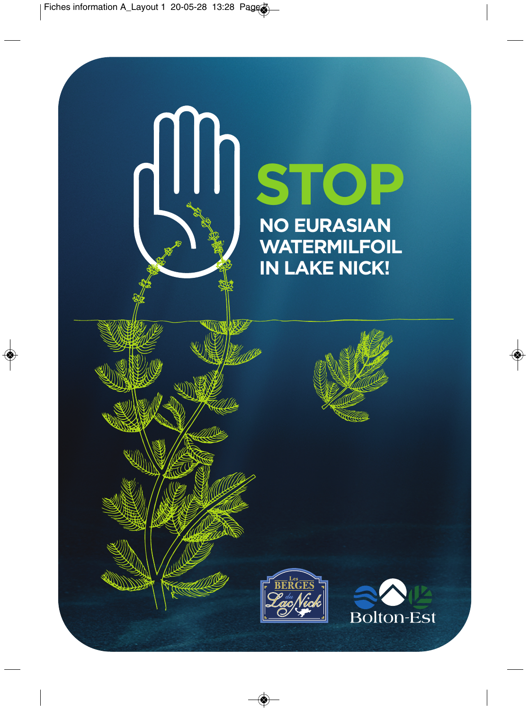♦